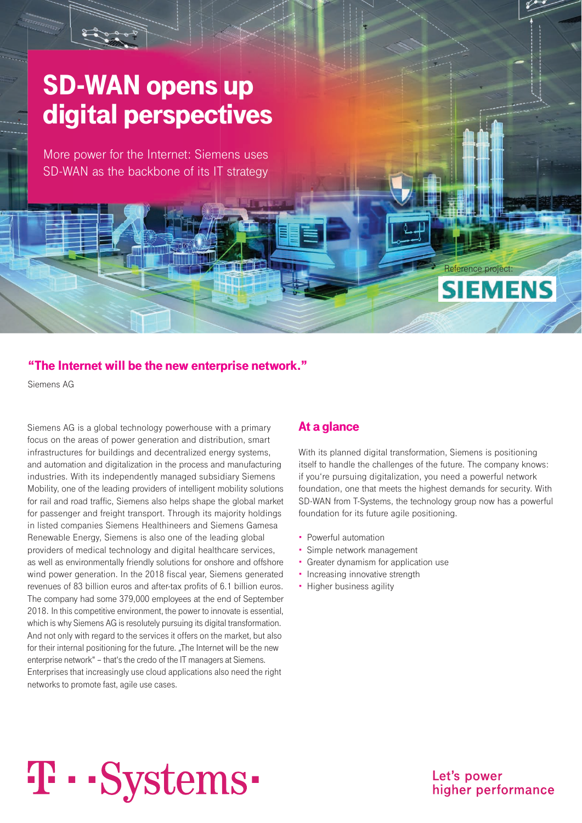# SD-WAN opens up digital perspectives

More power for the Internet: Siemens uses SD-WAN as the backbone of its IT strategy

#### "The Internet will be the new enterprise network."

Siemens AG

Siemens AG is a global technology powerhouse with a primary focus on the areas of power generation and distribution, smart infrastructures for buildings and decentralized energy systems, and automation and digitalization in the process and manufacturing industries. With its independently managed subsidiary Siemens Mobility, one of the leading providers of intelligent mobility solutions for rail and road traffic, Siemens also helps shape the global market for passenger and freight transport. Through its majority holdings in listed companies Siemens Healthineers and Siemens Gamesa Renewable Energy, Siemens is also one of the leading global providers of medical technology and digital healthcare services, as well as environmentally friendly solutions for onshore and offshore wind power generation. In the 2018 fiscal year, Siemens generated revenues of 83 billion euros and after-tax profits of 6.1 billion euros. The company had some 379,000 employees at the end of September 2018. In this competitive environment, the power to innovate is essential, which is why Siemens AG is resolutely pursuing its digital transformation. And not only with regard to the services it offers on the market, but also for their internal positioning for the future. "The Internet will be the new enterprise network" – that's the credo of the IT managers at Siemens. Enterprises that increasingly use cloud applications also need the right networks to promote fast, agile use cases.

#### At a glance

With its planned digital transformation, Siemens is positioning itself to handle the challenges of the future. The company knows: if you're pursuing digitalization, you need a powerful network foundation, one that meets the highest demands for security. With SD-WAN from T-Systems, the technology group now has a powerful foundation for its future agile positioning.

Reference project:

**SIEMENS** 

- Powerful automation
- Simple network management
- Greater dynamism for application use
- Increasing innovative strength
- Higher business agility

# **T** · · Systems ·

Let's power higher performance